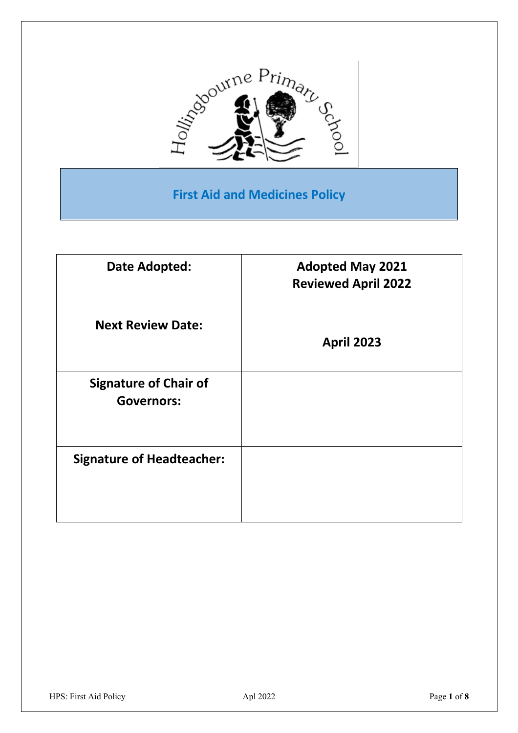

## **First Aid and Medicines Policy**

| Date Adopted:                                     | <b>Adopted May 2021</b><br><b>Reviewed April 2022</b> |
|---------------------------------------------------|-------------------------------------------------------|
| <b>Next Review Date:</b>                          | <b>April 2023</b>                                     |
| <b>Signature of Chair of</b><br><b>Governors:</b> |                                                       |
| <b>Signature of Headteacher:</b>                  |                                                       |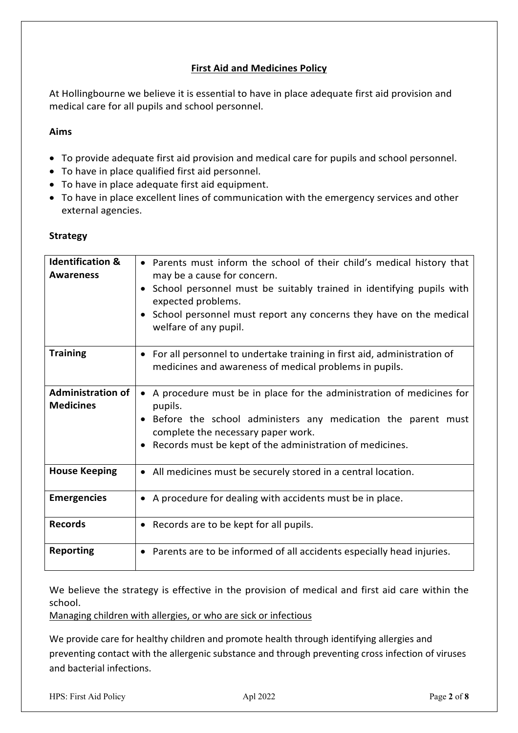### **First Aid and Medicines Policy**

At Hollingbourne we believe it is essential to have in place adequate first aid provision and medical care for all pupils and school personnel.

### **Aims**

- To provide adequate first aid provision and medical care for pupils and school personnel.
- To have in place qualified first aid personnel.
- To have in place adequate first aid equipment.
- To have in place excellent lines of communication with the emergency services and other external agencies.

### **Strategy**

| <b>Identification &amp;</b><br><b>Awareness</b> | • Parents must inform the school of their child's medical history that<br>may be a cause for concern.<br>School personnel must be suitably trained in identifying pupils with<br>expected problems.<br>School personnel must report any concerns they have on the medical<br>welfare of any pupil. |
|-------------------------------------------------|----------------------------------------------------------------------------------------------------------------------------------------------------------------------------------------------------------------------------------------------------------------------------------------------------|
| <b>Training</b>                                 | • For all personnel to undertake training in first aid, administration of<br>medicines and awareness of medical problems in pupils.                                                                                                                                                                |
| <b>Administration of</b><br><b>Medicines</b>    | • A procedure must be in place for the administration of medicines for<br>pupils.<br>Before the school administers any medication the parent must<br>complete the necessary paper work.<br>Records must be kept of the administration of medicines.                                                |
| <b>House Keeping</b>                            | • All medicines must be securely stored in a central location.                                                                                                                                                                                                                                     |
| <b>Emergencies</b>                              | • A procedure for dealing with accidents must be in place.                                                                                                                                                                                                                                         |
| <b>Records</b>                                  | • Records are to be kept for all pupils.                                                                                                                                                                                                                                                           |
| <b>Reporting</b>                                | • Parents are to be informed of all accidents especially head injuries.                                                                                                                                                                                                                            |

We believe the strategy is effective in the provision of medical and first aid care within the school.

Managing children with allergies, or who are sick or infectious

We provide care for healthy children and promote health through identifying allergies and preventing contact with the allergenic substance and through preventing cross infection of viruses and bacterial infections.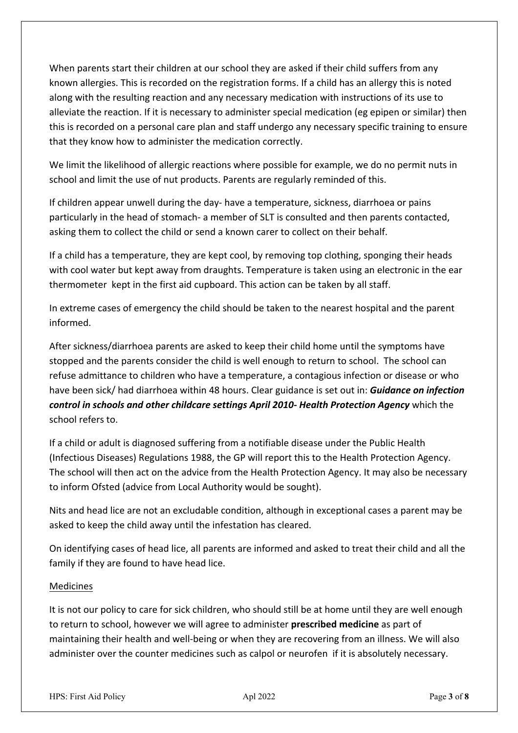When parents start their children at our school they are asked if their child suffers from any known allergies. This is recorded on the registration forms. If a child has an allergy this is noted along with the resulting reaction and any necessary medication with instructions of its use to alleviate the reaction. If it is necessary to administer special medication (eg epipen or similar) then this is recorded on a personal care plan and staff undergo any necessary specific training to ensure that they know how to administer the medication correctly.

We limit the likelihood of allergic reactions where possible for example, we do no permit nuts in school and limit the use of nut products. Parents are regularly reminded of this.

If children appear unwell during the day- have a temperature, sickness, diarrhoea or pains particularly in the head of stomach- a member of SLT is consulted and then parents contacted, asking them to collect the child or send a known carer to collect on their behalf.

If a child has a temperature, they are kept cool, by removing top clothing, sponging their heads with cool water but kept away from draughts. Temperature is taken using an electronic in the ear thermometer kept in the first aid cupboard. This action can be taken by all staff.

In extreme cases of emergency the child should be taken to the nearest hospital and the parent informed.

After sickness/diarrhoea parents are asked to keep their child home until the symptoms have stopped and the parents consider the child is well enough to return to school. The school can refuse admittance to children who have a temperature, a contagious infection or disease or who have been sick/ had diarrhoea within 48 hours. Clear guidance is set out in: *Guidance on infection control in schools and other childcare settings April 2010- Health Protection Agency* which the school refers to.

If a child or adult is diagnosed suffering from a notifiable disease under the Public Health (Infectious Diseases) Regulations 1988, the GP will report this to the Health Protection Agency. The school will then act on the advice from the Health Protection Agency. It may also be necessary to inform Ofsted (advice from Local Authority would be sought).

Nits and head lice are not an excludable condition, although in exceptional cases a parent may be asked to keep the child away until the infestation has cleared.

On identifying cases of head lice, all parents are informed and asked to treat their child and all the family if they are found to have head lice.

### Medicines

It is not our policy to care for sick children, who should still be at home until they are well enough to return to school, however we will agree to administer **prescribed medicine** as part of maintaining their health and well-being or when they are recovering from an illness. We will also administer over the counter medicines such as calpol or neurofen if it is absolutely necessary.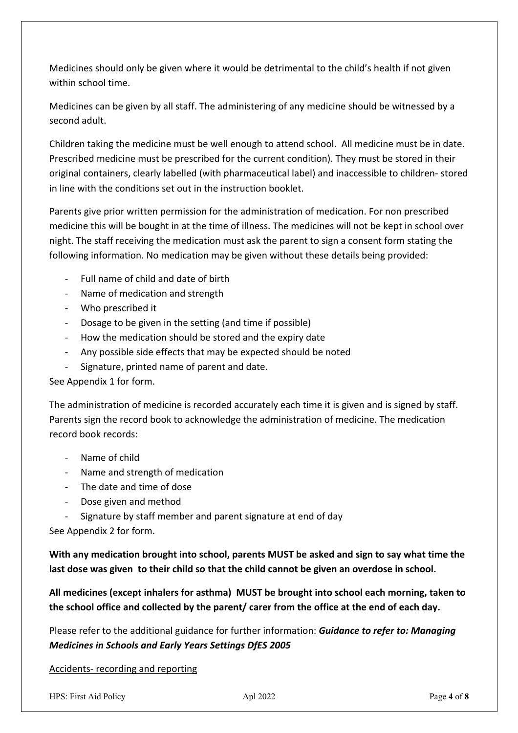Medicines should only be given where it would be detrimental to the child's health if not given within school time.

Medicines can be given by all staff. The administering of any medicine should be witnessed by a second adult.

Children taking the medicine must be well enough to attend school. All medicine must be in date. Prescribed medicine must be prescribed for the current condition). They must be stored in their original containers, clearly labelled (with pharmaceutical label) and inaccessible to children- stored in line with the conditions set out in the instruction booklet.

Parents give prior written permission for the administration of medication. For non prescribed medicine this will be bought in at the time of illness. The medicines will not be kept in school over night. The staff receiving the medication must ask the parent to sign a consent form stating the following information. No medication may be given without these details being provided:

- Full name of child and date of birth
- Name of medication and strength
- Who prescribed it
- Dosage to be given in the setting (and time if possible)
- How the medication should be stored and the expiry date
- Any possible side effects that may be expected should be noted
- Signature, printed name of parent and date.

### See Appendix 1 for form.

The administration of medicine is recorded accurately each time it is given and is signed by staff. Parents sign the record book to acknowledge the administration of medicine. The medication record book records:

- Name of child
- Name and strength of medication
- The date and time of dose
- Dose given and method
- Signature by staff member and parent signature at end of day

See Appendix 2 for form.

**With any medication brought into school, parents MUST be asked and sign to say what time the last dose was given to their child so that the child cannot be given an overdose in school.**

**All medicines (except inhalers for asthma) MUST be brought into school each morning, taken to the school office and collected by the parent/ carer from the office at the end of each day.**

Please refer to the additional guidance for further information: *Guidance to refer to: Managing Medicines in Schools and Early Years Settings DfES 2005*

Accidents- recording and reporting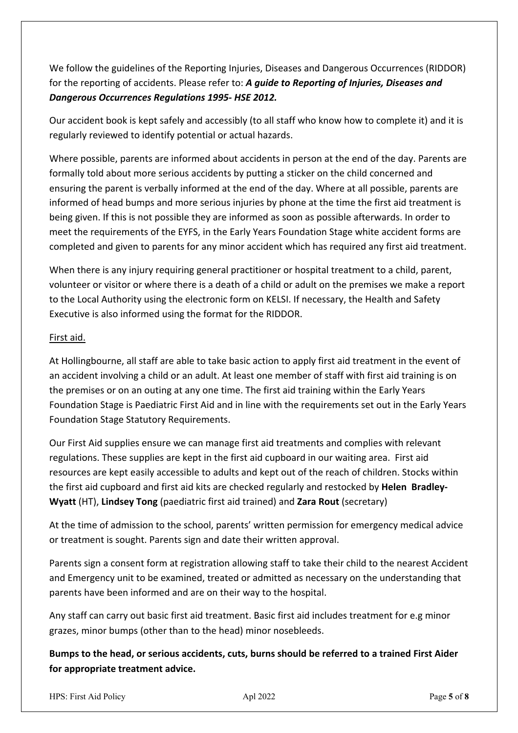We follow the guidelines of the Reporting Injuries, Diseases and Dangerous Occurrences (RIDDOR) for the reporting of accidents. Please refer to: *A guide to Reporting of Injuries, Diseases and Dangerous Occurrences Regulations 1995- HSE 2012.*

Our accident book is kept safely and accessibly (to all staff who know how to complete it) and it is regularly reviewed to identify potential or actual hazards.

Where possible, parents are informed about accidents in person at the end of the day. Parents are formally told about more serious accidents by putting a sticker on the child concerned and ensuring the parent is verbally informed at the end of the day. Where at all possible, parents are informed of head bumps and more serious injuries by phone at the time the first aid treatment is being given. If this is not possible they are informed as soon as possible afterwards. In order to meet the requirements of the EYFS, in the Early Years Foundation Stage white accident forms are completed and given to parents for any minor accident which has required any first aid treatment.

When there is any injury requiring general practitioner or hospital treatment to a child, parent, volunteer or visitor or where there is a death of a child or adult on the premises we make a report to the Local Authority using the electronic form on KELSI. If necessary, the Health and Safety Executive is also informed using the format for the RIDDOR.

### First aid.

At Hollingbourne, all staff are able to take basic action to apply first aid treatment in the event of an accident involving a child or an adult. At least one member of staff with first aid training is on the premises or on an outing at any one time. The first aid training within the Early Years Foundation Stage is Paediatric First Aid and in line with the requirements set out in the Early Years Foundation Stage Statutory Requirements.

Our First Aid supplies ensure we can manage first aid treatments and complies with relevant regulations. These supplies are kept in the first aid cupboard in our waiting area. First aid resources are kept easily accessible to adults and kept out of the reach of children. Stocks within the first aid cupboard and first aid kits are checked regularly and restocked by **Helen Bradley-Wyatt** (HT), **Lindsey Tong** (paediatric first aid trained) and **Zara Rout** (secretary)

At the time of admission to the school, parents' written permission for emergency medical advice or treatment is sought. Parents sign and date their written approval.

Parents sign a consent form at registration allowing staff to take their child to the nearest Accident and Emergency unit to be examined, treated or admitted as necessary on the understanding that parents have been informed and are on their way to the hospital.

Any staff can carry out basic first aid treatment. Basic first aid includes treatment for e.g minor grazes, minor bumps (other than to the head) minor nosebleeds.

**Bumps to the head, or serious accidents, cuts, burns should be referred to a trained First Aider for appropriate treatment advice.**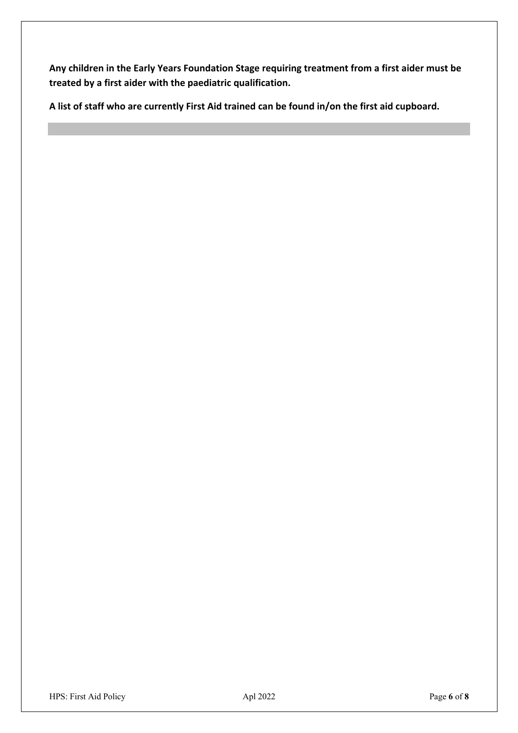**Any children in the Early Years Foundation Stage requiring treatment from a first aider must be treated by a first aider with the paediatric qualification.** 

**A list of staff who are currently First Aid trained can be found in/on the first aid cupboard.**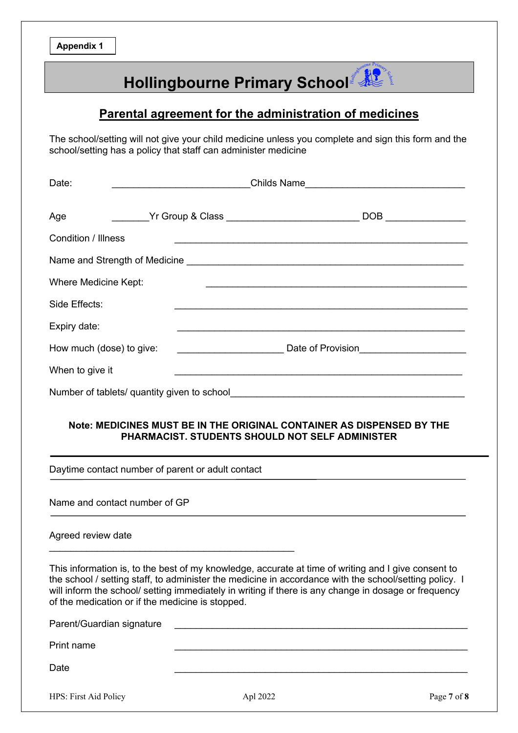**Appendix 1**

# **Hollingbourne Primary School**

### **Parental agreement for the administration of medicines**

The school/setting will not give your child medicine unless you complete and sign this form and the school/setting has a policy that staff can administer medicine

| Childs Name                                                                                 |
|---------------------------------------------------------------------------------------------|
| DOB <sub>a</sub>                                                                            |
|                                                                                             |
|                                                                                             |
|                                                                                             |
|                                                                                             |
|                                                                                             |
| Date of Provision<br><u> Letter and the substitute of provision</u>                         |
|                                                                                             |
|                                                                                             |
| Where Medicine Kept:<br>How much (dose) to give:<br><u> 1989 - Johann Barbara, martin a</u> |

### **Note: MEDICINES MUST BE IN THE ORIGINAL CONTAINER AS DISPENSED BY THE PHARMACIST. STUDENTS SHOULD NOT SELF ADMINISTER**

Daytime contact number of parent or adult contact

 $\mathcal{L}_\text{max}$  and  $\mathcal{L}_\text{max}$  and  $\mathcal{L}_\text{max}$  and  $\mathcal{L}_\text{max}$ 

Name and contact number of GP

#### Agreed review date

This information is, to the best of my knowledge, accurate at time of writing and I give consent to the school / setting staff, to administer the medicine in accordance with the school/setting policy. I will inform the school/ setting immediately in writing if there is any change in dosage or frequency of the medication or if the medicine is stopped.

| Parent/Guardian signature |  |
|---------------------------|--|
| Print name                |  |
| Date                      |  |